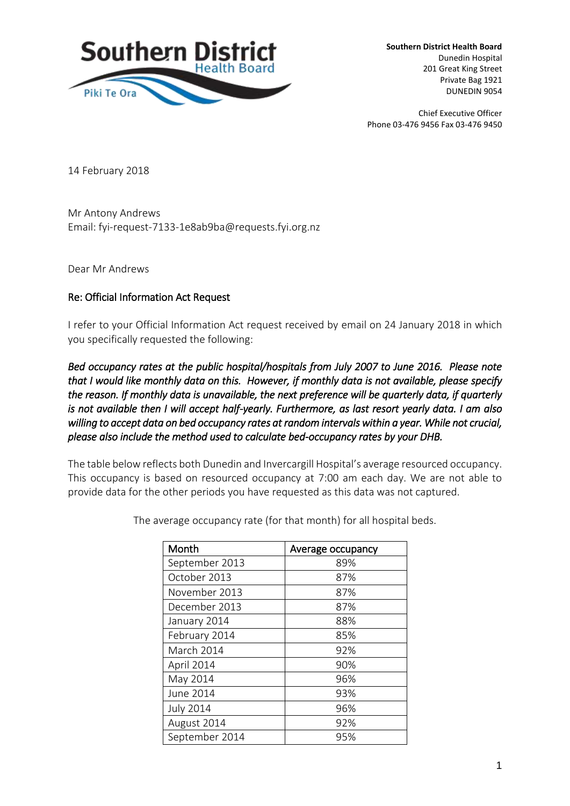

**Southern District Health Board**  Dunedin Hospital 201 Great King Street Private Bag 1921 DUNEDIN 9054

Chief Executive Officer Phone 03-476 9456 Fax 03-476 9450

14 February 2018

Mr Antony Andrews Email: fyi-request-7133-1e8ab9ba@requests.fyi.org.nz

Dear Mr Andrews

## Re: Official Information Act Request

I refer to your Official Information Act request received by email on 24 January 2018 in which you specifically requested the following:

*Bed occupancy rates at the public hospital/hospitals from July 2007 to June 2016. Please note that I would like monthly data on this. However, if monthly data is not available, please specify the reason. If monthly data is unavailable, the next preference will be quarterly data, if quarterly is not available then I will accept half-yearly. Furthermore, as last resort yearly data. I am also willing to accept data on bed occupancy rates at random intervals within a year. While not crucial, please also include the method used to calculate bed-occupancy rates by your DHB.* 

The table below reflects both Dunedin and Invercargill Hospital's average resourced occupancy. This occupancy is based on resourced occupancy at 7:00 am each day. We are not able to provide data for the other periods you have requested as this data was not captured.

| Month            | Average occupancy |
|------------------|-------------------|
| September 2013   | 89%               |
| October 2013     | 87%               |
| November 2013    | 87%               |
| December 2013    | 87%               |
| January 2014     | 88%               |
| February 2014    | 85%               |
| March 2014       | 92%               |
| April 2014       | 90%               |
| May 2014         | 96%               |
| June 2014        | 93%               |
| <b>July 2014</b> | 96%               |
| August 2014      | 92%               |
| September 2014   | 95%               |

The average occupancy rate (for that month) for all hospital beds.